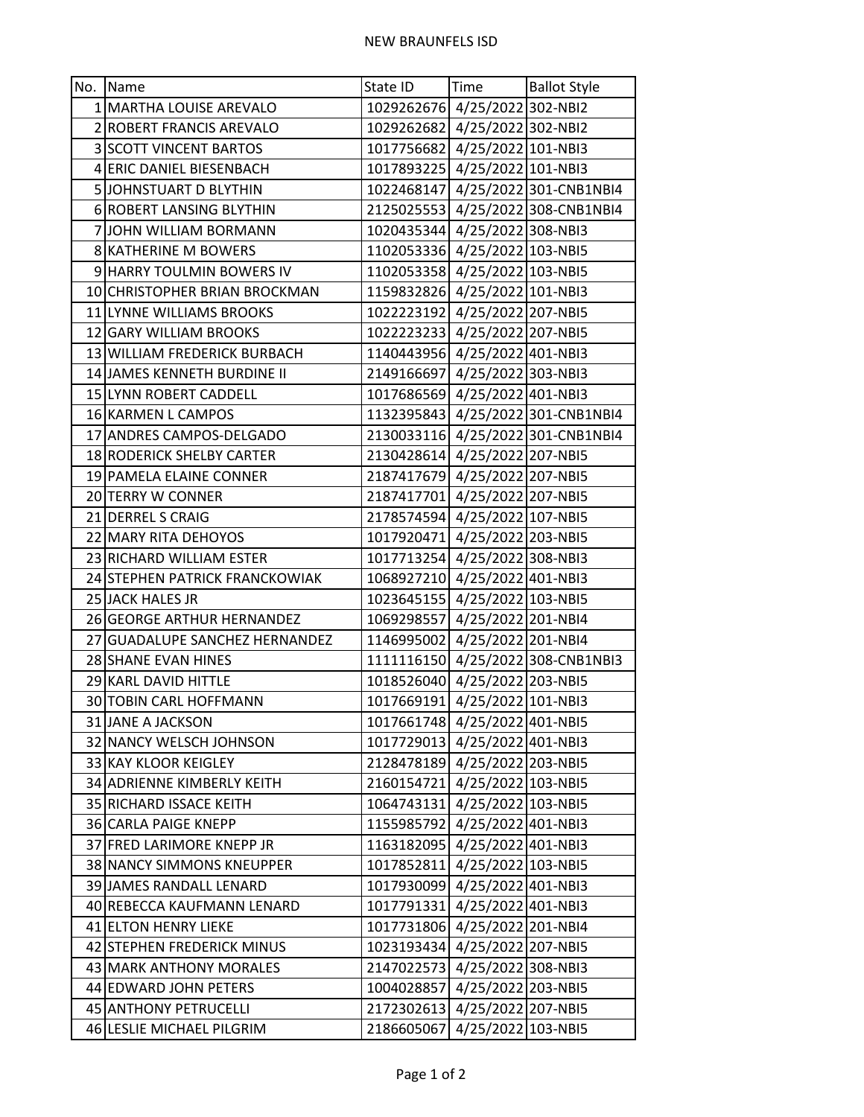| No.   Name                     | State ID                      | Time               | <b>Ballot Style</b>               |
|--------------------------------|-------------------------------|--------------------|-----------------------------------|
| 1 MARTHA LOUISE AREVALO        | 1029262676 4/25/2022 302-NBI2 |                    |                                   |
| 2 ROBERT FRANCIS AREVALO       | 1029262682 4/25/2022 302-NBI2 |                    |                                   |
| <b>3 SCOTT VINCENT BARTOS</b>  | 1017756682 4/25/2022 101-NBI3 |                    |                                   |
| 4 ERIC DANIEL BIESENBACH       | 1017893225 4/25/2022 101-NBI3 |                    |                                   |
| 5 JOHNSTUART D BLYTHIN         |                               |                    | 1022468147 4/25/2022 301-CNB1NBI4 |
| 6 ROBERT LANSING BLYTHIN       |                               |                    | 2125025553 4/25/2022 308-CNB1NBI4 |
| 7 JOHN WILLIAM BORMANN         | 1020435344 4/25/2022 308-NBI3 |                    |                                   |
| 8 KATHERINE M BOWERS           | 1102053336 4/25/2022 103-NBI5 |                    |                                   |
| 9 HARRY TOULMIN BOWERS IV      | 1102053358 4/25/2022 103-NBI5 |                    |                                   |
| 10 CHRISTOPHER BRIAN BROCKMAN  | 1159832826 4/25/2022 101-NBI3 |                    |                                   |
| 11 LYNNE WILLIAMS BROOKS       | 1022223192 4/25/2022 207-NBI5 |                    |                                   |
| 12 GARY WILLIAM BROOKS         | 1022223233 4/25/2022 207-NBI5 |                    |                                   |
| 13 WILLIAM FREDERICK BURBACH   | 1140443956 4/25/2022 401-NBI3 |                    |                                   |
| 14 JAMES KENNETH BURDINE II    | 2149166697 4/25/2022 303-NBI3 |                    |                                   |
| 15 LYNN ROBERT CADDELL         | 1017686569 4/25/2022 401-NBI3 |                    |                                   |
| 16 KARMEN L CAMPOS             |                               |                    | 1132395843 4/25/2022 301-CNB1NBI4 |
| 17 ANDRES CAMPOS-DELGADO       |                               |                    | 2130033116 4/25/2022 301-CNB1NBI4 |
| 18 RODERICK SHELBY CARTER      | 2130428614 4/25/2022 207-NBI5 |                    |                                   |
| 19 PAMELA ELAINE CONNER        | 2187417679 4/25/2022 207-NBI5 |                    |                                   |
| 20 TERRY W CONNER              | 2187417701 4/25/2022 207-NBI5 |                    |                                   |
| 21 DERREL S CRAIG              | 2178574594 4/25/2022 107-NBI5 |                    |                                   |
| 22 MARY RITA DEHOYOS           | 1017920471 4/25/2022 203-NBI5 |                    |                                   |
| 23 RICHARD WILLIAM ESTER       | 1017713254 4/25/2022 308-NBI3 |                    |                                   |
| 24 STEPHEN PATRICK FRANCKOWIAK | 1068927210 4/25/2022 401-NBI3 |                    |                                   |
| 25 JACK HALES JR               | 1023645155 4/25/2022 103-NBI5 |                    |                                   |
| 26 GEORGE ARTHUR HERNANDEZ     | 1069298557 4/25/2022 201-NBI4 |                    |                                   |
| 27 GUADALUPE SANCHEZ HERNANDEZ | 1146995002 4/25/2022 201-NBI4 |                    |                                   |
| 28 SHANE EVAN HINES            |                               |                    | 1111116150 4/25/2022 308-CNB1NBI3 |
| 29 KARL DAVID HITTLE           | 1018526040 4/25/2022 203-NBI5 |                    |                                   |
| 30 TOBIN CARL HOFFMANN         | 1017669191 4/25/2022 101-NBI3 |                    |                                   |
| 31 JANE A JACKSON              | 1017661748 4/25/2022 401-NBI5 |                    |                                   |
| 32 NANCY WELSCH JOHNSON        | 1017729013 4/25/2022 401-NBI3 |                    |                                   |
| 33 KAY KLOOR KEIGLEY           | 2128478189 4/25/2022 203-NBI5 |                    |                                   |
| 34 ADRIENNE KIMBERLY KEITH     | 2160154721 4/25/2022 103-NBI5 |                    |                                   |
| 35 RICHARD ISSACE KEITH        | 1064743131 4/25/2022 103-NBI5 |                    |                                   |
| 36 CARLA PAIGE KNEPP           | 1155985792 4/25/2022 401-NBI3 |                    |                                   |
| 37 FRED LARIMORE KNEPP JR      | 1163182095 4/25/2022 401-NBI3 |                    |                                   |
| 38 NANCY SIMMONS KNEUPPER      | 1017852811 4/25/2022 103-NBI5 |                    |                                   |
| 39 JAMES RANDALL LENARD        | 1017930099 4/25/2022 401-NBI3 |                    |                                   |
| 40 REBECCA KAUFMANN LENARD     | 1017791331 4/25/2022 401-NBI3 |                    |                                   |
| 41 ELTON HENRY LIEKE           | 1017731806 4/25/2022 201-NBI4 |                    |                                   |
| 42 STEPHEN FREDERICK MINUS     | 1023193434 4/25/2022 207-NBI5 |                    |                                   |
| 43 MARK ANTHONY MORALES        | 2147022573 4/25/2022 308-NBI3 |                    |                                   |
| 44 EDWARD JOHN PETERS          | 1004028857 4/25/2022 203-NBI5 |                    |                                   |
| 45 ANTHONY PETRUCELLI          | 2172302613 4/25/2022 207-NBI5 |                    |                                   |
| 46 LESLIE MICHAEL PILGRIM      | 2186605067                    | 4/25/2022 103-NBI5 |                                   |